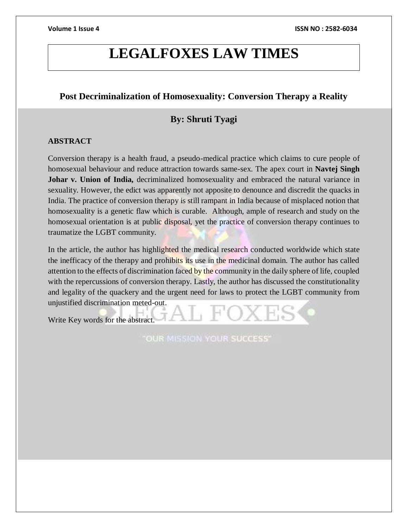# **LEGALFOXES LAW TIMES**

# **Post Decriminalization of Homosexuality: Conversion Therapy a Reality**

# **By: Shruti Tyagi**

# **ABSTRACT**

Conversion therapy is a health fraud, a pseudo-medical practice which claims to cure people of homosexual behaviour and reduce attraction towards same-sex. The apex court in **Navtej Singh**  Johar v. Union of India, decriminalized homosexuality and embraced the natural variance in sexuality. However, the edict was apparently not apposite to denounce and discredit the quacks in India. The practice of conversion therapy is still rampant in India because of misplaced notion that homosexuality is a genetic flaw which is curable. Although, ample of research and study on the homosexual orientation is at public disposal, yet the practice of conversion therapy continues to traumatize the LGBT community.

In the article, the author has highlighted the medical research conducted worldwide which state the inefficacy of the therapy and prohibits its use in the medicinal domain. The author has called attention to the effects of discrimination faced by the community in the daily sphere of life, coupled with the repercussions of conversion therapy. Lastly, the author has discussed the constitutionality and legality of the quackery and the urgent need for laws to protect the LGBT community from unjustified discrimination meted-out.

Write Key words for the abstract.

**OUR MISSION YOUR SUCCESS'**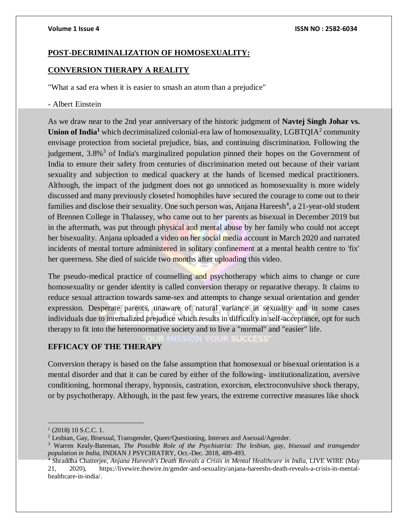# **POST-DECRIMINALIZATION OF HOMOSEXUALITY:**

# **CONVERSION THERAPY A REALITY**

"What a sad era when it is easier to smash an atom than a prejudice"

### - Albert Einstein

As we draw near to the 2nd year anniversary of the historic judgment of **Navtej Singh Johar vs.**  Union of India<sup>1</sup> which decriminalized colonial-era law of homosexuality, LGBTQIA<sup>2</sup> community envisage protection from societal prejudice, bias, and continuing discrimination. Following the judgement, 3.8%<sup>3</sup> of India's marginalized population pinned their hopes on the Government of India to ensure their safety from centuries of discrimination meted out because of their variant sexuality and subjection to medical quackery at the hands of licensed medical practitioners. Although, the impact of the judgment does not go unnoticed as homosexuality is more widely discussed and many previously closeted homophiles have secured the courage to come out to their families and disclose their sexuality. One such person was, Anjana Hareesh<sup>4</sup>, a 21-year-old student of Brennen College in Thalassey, who came out to her parents as bisexual in December 2019 but in the aftermath, was put through physical and mental abuse by her family who could not accept her bisexuality. Anjana uploaded a video on her social media account in March 2020 and narrated incidents of mental torture administered in solitary confinement at a mental health centre to 'fix' her queerness. She died of suicide two months after uploading this video.

The pseudo-medical practice of counselling and psychotherapy which aims to change or cure homosexuality or gender identity is called conversion therapy or reparative therapy. It claims to reduce sexual attraction towards same-sex and attempts to change sexual orientation and gender expression. Desperate parents, unaware of natural variance in sexuality and in some cases individuals due to internalized prejudice which results in difficulty in self-acceptance, opt for such therapy to fit into the heteronormative society and to live a "normal" and "easier" life.

**YOUR SUCCESS** 

# **EFFICACY OF THE THERAPY**

Conversion therapy is based on the false assumption that homosexual or bisexual orientation is a mental disorder and that it can be cured by either of the following- institutionalization, aversive conditioning, hormonal therapy, hypnosis, castration, exorcism, electroconvulsive shock therapy, or by psychotherapy. Although, in the past few years, the extreme corrective measures like shock

 $\overline{a}$ 

<sup>&</sup>lt;sup>1</sup> (2018) 10 S.C.C. 1.

<sup>&</sup>lt;sup>2</sup> Lesbian, Gay, Bisexual, Transgender, Queer/Questioning, Intersex and Asexual/Agender.

<sup>3</sup> Warren Kealy-Bateman, *The Possible Role of the Psychiatrist: The lesbian, gay, bisexual and transgender population in India,* INDIAN J PSYCHIATRY, Oct.-Dec. 2018, 489-493.

<sup>4</sup> Shraddha Chatterjee, *Anjana Hareesh's Death Reveals a Crisis in Mental Healthcare in India,* LIVE WIRE (May 21, 2020), [https://livewire.thewire.in/gender-and-sexuality/anjana-hareeshs-death-reveals-a-crisis-in-mental](https://livewire.thewire.in/gender-and-sexuality/anjana-hareeshs-death-reveals-a-crisis-in-mental-healthcare-in-india/)[healthcare-in-india/.](https://livewire.thewire.in/gender-and-sexuality/anjana-hareeshs-death-reveals-a-crisis-in-mental-healthcare-in-india/)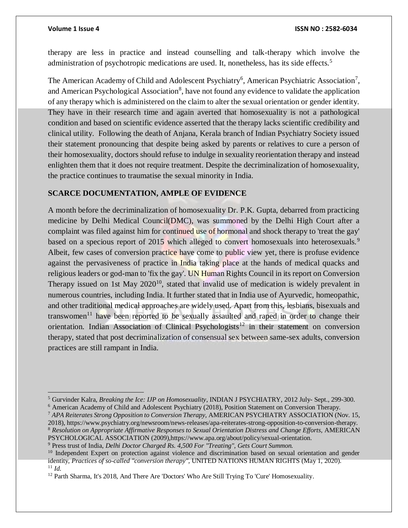$\overline{a}$ 

therapy are less in practice and instead counselling and talk-therapy which involve the administration of psychotropic medications are used. It, nonetheless, has its side effects.<sup>5</sup>

The American Academy of Child and Adolescent Psychiatry<sup>6</sup>, American Psychiatric Association<sup>7</sup>, and American Psychological Association<sup>8</sup>, have not found any evidence to validate the application of any therapy which is administered on the claim to alter the sexual orientation or gender identity. They have in their research time and again averted that homosexuality is not a pathological condition and based on scientific evidence asserted that the therapy lacks scientific credibility and clinical utility. Following the death of Anjana, Kerala branch of Indian Psychiatry Society issued their statement pronouncing that despite being asked by parents or relatives to cure a person of their homosexuality, doctors should refuse to indulge in sexuality reorientation therapy and instead enlighten them that it does not require treatment. Despite the decriminalization of homosexuality, the practice continues to traumatise the sexual minority in India.

### **SCARCE DOCUMENTATION, AMPLE OF EVIDENCE**

A month before the decriminalization of homosexuality Dr. P.K. Gupta, debarred from practicing medicine by Delhi Medical Council(DMC), was summoned by the Delhi High Court after a complaint was filed against him for continued use of hormonal and shock therapy to 'treat the gay' based on a specious report of 2015 which alleged to convert homosexuals into heterosexuals.<sup>9</sup> Albeit, few cases of conversion practice have come to public view yet, there is profuse evidence against the pervasiveness of practice in India taking place at the hands of medical quacks and religious leaders or god-man to 'fix the gay'. UN Human Rights Council in its report on Conversion Therapy issued on 1st May 2020<sup>10</sup>, stated that invalid use of medication is widely prevalent in numerous countries, including India. It further stated that in India use of Ayurvedic, homeopathic, and other traditional medical approaches are widely used. Apart from this, lesbians, bisexuals and transwomen<sup>11</sup> have been reported to be sexually assaulted and raped in order to change their orientation. Indian Association of Clinical Psychologists<sup>12</sup> in their statement on conversion therapy, stated that post decriminalization of consensual sex between same-sex adults, conversion practices are still rampant in India.

<sup>5</sup> Gurvinder Kalra, *Breaking the Ice: IJP on Homosexuality*, INDIAN J PSYCHIATRY, 2012 July- Sept., 299-300.

<sup>6</sup> American Academy of Child and Adolescent Psychiatry (2018), Position Statement on Conversion Therapy.

<sup>7</sup> *APA Reiterates Strong Opposition to Conversion Therapy,* AMERICAN PSYCHIATRY ASSOCIATION (Nov. 15, 2018)[, https://www.psychiatry.org/newsroom/news-releases/apa-reiterates-strong-opposition-to-conversion-therapy.](https://www.psychiatry.org/newsroom/news-releases/apa-reiterates-strong-opposition-to-conversion-therapy) <sup>8</sup> *Resolution on Appropriate Affirmative Responses to Sexual Orientation Distress and Change Efforts,* AMERICAN PSYCHOLOGICAL ASSOCIATION (2009)[,https://www.apa.org/about/policy/sexual-orientation.](https://www.apa.org/about/policy/sexual-orientation)

<sup>9</sup> Press trust of India, *Delhi Doctor Charged Rs. 4,500 For "Treating", Gets Court Summon.*

<sup>&</sup>lt;sup>10</sup> Independent Expert on protection against violence and discrimination based on sexual orientation and gender identity, *Practices of so-called "conversion therapy",* UNITED NATIONS HUMAN RIGHTS (May 1, 2020). <sup>11</sup> *Id.*

<sup>&</sup>lt;sup>12</sup> Parth Sharma, It's 2018, And There Are 'Doctors' Who Are Still Trying To 'Cure' Homosexuality.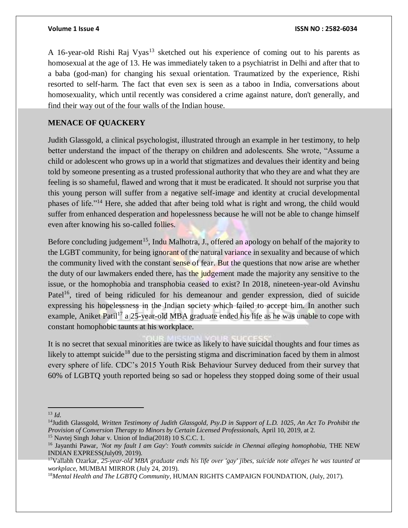A 16-year-old Rishi Raj Vyas<sup>13</sup> sketched out his experience of coming out to his parents as homosexual at the age of 13. He was immediately taken to a psychiatrist in Delhi and after that to a baba (god-man) for changing his sexual orientation. Traumatized by the experience, Rishi resorted to self-harm. The fact that even sex is seen as a taboo in India, conversations about homosexuality, which until recently was considered a crime against nature, don't generally, and find their way out of the four walls of the Indian house.

# **MENACE OF QUACKERY**

Judith Glassgold, a clinical psychologist, illustrated through an example in her testimony, to help better understand the impact of the therapy on children and adolescents. She wrote, "Assume a child or adolescent who grows up in a world that stigmatizes and devalues their identity and being told by someone presenting as a trusted professional authority that who they are and what they are feeling is so shameful, flawed and wrong that it must be eradicated. It should not surprise you that this young person will suffer from a negative self-image and identity at crucial developmental phases of life."<sup>14</sup> Here, she added that after being told what is right and wrong, the child would suffer from enhanced desperation and hopelessness because he will not be able to change himself even after knowing his so-called follies.

Before concluding judgement<sup>15</sup>, Indu Malhotra, J., offered an apology on behalf of the majority to the LGBT community, for being ignorant of the natural variance in sexuality and because of which the community lived with the constant sense of fear. But the questions that now arise are whether the duty of our lawmakers ended there, has the judgement made the majority any sensitive to the issue, or the homophobia and transphobia ceased to exist? In 2018, nineteen-year-old Avinshu Patel<sup>16</sup>, tired of being ridiculed for his demeanour and gender expression, died of suicide expressing his hopelessness in the Indian society which failed to accept him. In another such example, Aniket Patil<sup>17</sup> a 25-year-old MBA graduate ended his life as he was unable to cope with constant homophobic taunts at his workplace.

It is no secret that sexual minorities are twice as likely to have suicidal thoughts and four times as likely to attempt suicide<sup>18</sup> due to the persisting stigma and discrimination faced by them in almost every sphere of life. CDC's 2015 Youth Risk Behaviour Survey deduced from their survey that 60% of LGBTQ youth reported being so sad or hopeless they stopped doing some of their usual

 $\overline{a}$  $^{13}$  *Id*.

<sup>14</sup>Judith Glassgold, *Written Testimony of Judith Glassgold, Psy.D in Support of L.D. 1025, An Act To Prohibit the Provision of Conversion Therapy to Minors by Certain Licensed Professionals,* April 10, 2019, at 2.

<sup>&</sup>lt;sup>15</sup> Navtej Singh Johar v. Union of India(2018) 10 S.C.C. 1.

<sup>16</sup> Jayanthi Pawar, *'Not my fault I am Gay': Youth commits suicide in Chennai alleging homophobia,* THE NEW INDIAN EXPRESS(July09, 2019).

<sup>17</sup>Vallabh Ozarkar, *25-year-old MBA graduate ends his life over 'gay' jibes, suicide note alleges he was taunted at workplace,* MUMBAI MIRROR (July 24, 2019).

<sup>18</sup>*Mental Health and The LGBTQ Community*, HUMAN RIGHTS CAMPAIGN FOUNDATION, (July, 2017).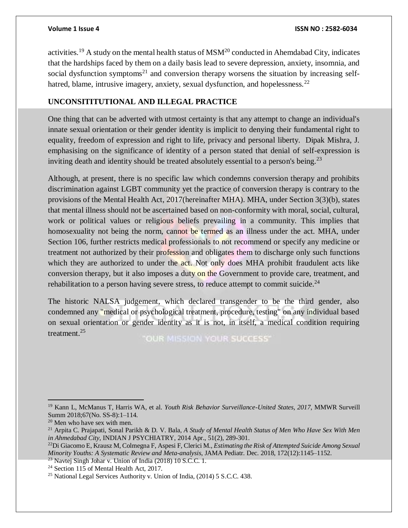activities.<sup>19</sup> A study on the mental health status of  $MSM<sup>20</sup>$  conducted in Ahemdabad City, indicates that the hardships faced by them on a daily basis lead to severe depression, anxiety, insomnia, and social dysfunction symptoms<sup>21</sup> and conversion therapy worsens the situation by increasing selfhatred, blame, intrusive imagery, anxiety, sexual dysfunction, and hopelessness.<sup>22</sup>

# **UNCONSITITUTIONAL AND ILLEGAL PRACTICE**

One thing that can be adverted with utmost certainty is that any attempt to change an individual's innate sexual orientation or their gender identity is implicit to denying their fundamental right to equality, freedom of expression and right to life, privacy and personal liberty. Dipak Mishra, J. emphasising on the significance of identity of a person stated that denial of self-expression is inviting death and identity should be treated absolutely essential to a person's being.<sup>23</sup>

Although, at present, there is no specific law which condemns conversion therapy and prohibits discrimination against LGBT community yet the practice of conversion therapy is contrary to the provisions of the Mental Health Act, 2017(hereinafter MHA). MHA, under Section 3(3)(b), states that mental illness should not be ascertained based on non-conformity with moral, social, cultural, work or political values or religious beliefs prevailing in a community. This implies that homosexuality not being the norm, cannot be termed as an illness under the act. MHA, under Section 106, further restricts medical professionals to not recommend or specify any medicine or treatment not authorized by their profession and obligates them to discharge only such functions which they are authorized to under the act. Not only does MHA prohibit fraudulent acts like conversion therapy, but it also imposes a duty on the Government to provide care, treatment, and rehabilitation to a person having severe stress, to reduce attempt to commit suicide. $^{24}$ 

The historic NALSA judgement, which declared transgender to be the third gender, also condemned any "medical or psychological treatment, procedure, testing" on any individual based on sexual orientation or gender identity as it is not, in itself, a medical condition requiring treatment.<sup>25</sup>

"OUR MISSION YOUR SUCCESS"

 $\overline{a}$ 

<sup>19</sup> Kann L, McManus T, Harris WA, et al. *Youth Risk Behavior Surveillance-United States, 2017*, MMWR Surveill Summ 2018;67(No. SS-8):1–114.

 $20$  Men who have sex with men.

<sup>21</sup> Arpita C. Prajapati, Sonal Parikh & D. V. Bala, *A Study of Mental Health Status of Men Who Have Sex With Men in Ahmedabad City,* INDIAN J PSYCHIATRY, 2014 Apr., 51(2), 289-301.

<sup>22</sup>Di Giacomo E, Krausz M, Colmegna F, Aspesi F, Clerici M., *Estimating the Risk of Attempted Suicide Among Sexual Minority Youths: A Systematic Review and Meta-analysis*, JAMA Pediatr*.* Dec. 2018, 172(12):1145–1152.

 $^{23}$  Navtej Singh Johar v. Union of India (2018) 10 S.C.C. 1.

<sup>&</sup>lt;sup>24</sup> Section 115 of Mental Health Act, 2017.

<sup>25</sup> National Legal Services Authority v. Union of India, (2014) 5 S.C.C. 438.